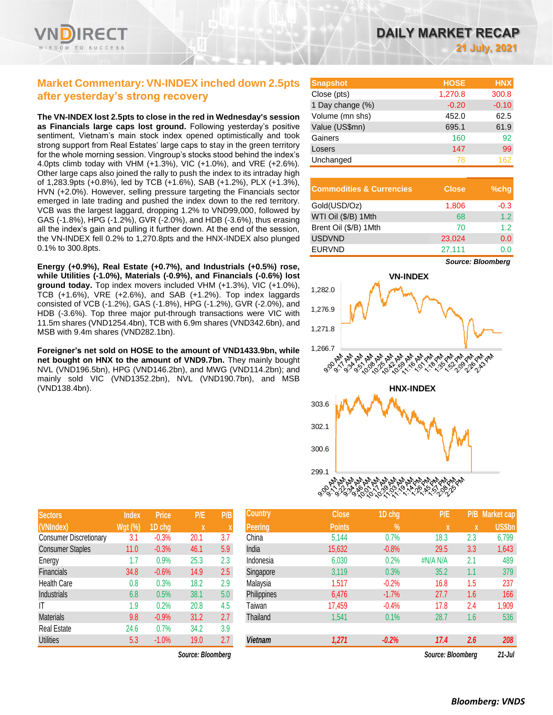

## **Market Commentary:VN-INDEX inched down 2.5pts after yesterday's strong recovery**

**The VN-INDEX lost 2.5pts to close in the red in Wednesday's session as Financials large caps lost ground.** Following yesterday's positive sentiment, Vietnam's main stock index opened optimistically and took strong support from Real Estates' large caps to stay in the green territory for the whole morning session. Vingroup's stocks stood behind the index's 4.0pts climb today with VHM (+1.3%), VIC (+1.0%), and VRE (+2.6%). Other large caps also joined the rally to push the index to its intraday high of 1,283.9pts (+0.8%), led by TCB (+1.6%), SAB (+1.2%), PLX (+1.3%), HVN (+2.0%). However, selling pressure targeting the Financials sector emerged in late trading and pushed the index down to the red territory. VCB was the largest laggard, dropping 1.2% to VND99,000, followed by GAS (-1.8%), HPG (-1.2%), GVR (-2.0%), and HDB (-3.6%), thus erasing all the index's gain and pulling it further down. At the end of the session, the VN-INDEX fell 0.2% to 1,270.8pts and the HNX-INDEX also plunged 0.1% to 300.8pts.

**Energy (+0.9%), Real Estate (+0.7%), and Industrials (+0.5%) rose, while Utilities (-1.0%), Materials (-0.9%), and Financials (-0.6%) lost ground today.** Top index movers included VHM (+1.3%), VIC (+1.0%), TCB (+1.6%), VRE (+2.6%), and SAB (+1.2%). Top index laggards consisted of VCB (-1.2%), GAS (-1.8%), HPG (-1.2%), GVR (-2.0%), and HDB (-3.6%). Top three major put-through transactions were VIC with 11.5m shares (VND1254.4bn), TCB with 6.9m shares (VND342.6bn), and MSB with 9.4m shares (VND282.1bn).

**Foreigner's net sold on HOSE to the amount of VND1433.9bn, while net bought on HNX to the amount of VND9.7bn.** They mainly bought NVL (VND196.5bn), HPG (VND146.2bn), and MWG (VND114.2bn); and mainly sold VIC (VND1352.2bn), NVL (VND190.7bn), and MSB (VND138.4bn).

| <b>Sectors</b>                | <b>Index</b>   | <b>Price</b> | <b>P/E</b> | P/B |
|-------------------------------|----------------|--------------|------------|-----|
| (VNIndex)                     | <b>Wgt (%)</b> | 1D chg       | X          | X   |
| <b>Consumer Discretionary</b> | 3.1            | $-0.3%$      | 20.1       | 3.7 |
| <b>Consumer Staples</b>       | 11.0           | $-0.3%$      | 46.1       | 5.9 |
| Energy                        | 1.7            | 0.9%         | 25.3       | 2.3 |
| <b>Financials</b>             | 34.8           | $-0.6%$      | 14.9       | 2.5 |
| <b>Health Care</b>            | 0.8            | 0.3%         | 18.2       | 2.9 |
| <b>Industrials</b>            | 6.8            | 0.5%         | 38.1       | 5.0 |
| ΙT                            | 1.9            | 0.2%         | 20.8       | 4.5 |
| <b>Materials</b>              | 9.8            | $-0.9%$      | 31.2       | 2.7 |
| <b>Real Estate</b>            | 24.6           | 0.7%         | 34.2       | 3.9 |
| <b>Utilities</b>              | 5.3            | $-1.0%$      | 19.0       | 2.7 |

*Source: Bloomberg Source: Bloomberg 21-Jul*

| <b>Snapshot</b>  | <b>HOSE</b> | <b>HNX</b> |
|------------------|-------------|------------|
| Close (pts)      | 1,270.8     | 300.8      |
| 1 Day change (%) | $-0.20$     | $-0.10$    |
| Volume (mn shs)  | 452.0       | 62.5       |
| Value (US\$mn)   | 695.1       | 61.9       |
| Gainers          | 160         | 92         |
| Losers           | 147         | 99         |
| Unchanged        | 78          | 162        |

| <b>Commodities &amp; Currencies</b> | <b>Close</b> | $%$ chq |
|-------------------------------------|--------------|---------|
| Gold(USD/Oz)                        | 1,806        | $-0.3$  |
| WTI Oil (\$/B) 1Mth                 | 68           | 1.2     |
| Brent Oil (\$/B) 1Mth               | 70           | 12      |
| <b>USDVND</b>                       | 23,024       | 0.0     |
| <b>EURVND</b>                       | 27,111       | ი ი     |

*Source: Bloomberg*



| <b>Sectors</b>                | <b>Index</b>   | <b>Price</b> | P/E               | P/B | <b>Country</b> | <b>Close</b>  | 1D chg  | P/E               |     | P/B Market cap |
|-------------------------------|----------------|--------------|-------------------|-----|----------------|---------------|---------|-------------------|-----|----------------|
| (VNIndex)                     | <b>Wgt (%)</b> | 1D chg       | $\boldsymbol{X}$  |     | Peering        | <b>Points</b> | $\%$    | x                 | x   | <b>US\$bn</b>  |
| <b>Consumer Discretionary</b> | 3.1            | $-0.3%$      | 20.1              | 3.7 | China          | 5,144         | 0.7%    | 18.3              | 2.3 | 6,799          |
| <b>Consumer Staples</b>       | 11.0           | $-0.3%$      | 46.1              | 5.9 | India          | 15,632        | $-0.8%$ | 29.5              | 3.3 | 1,643          |
| Energy                        | 1.7            | 0.9%         | 25.3              | 2.3 | Indonesia      | 6,030         | 0.2%    | #N/A N/A          | 2.1 | 489            |
| <b>Financials</b>             | 34.8           | $-0.6%$      | 14.9              | 2.5 | Singapore      | 3,119         | 0.3%    | 35.2              | 1.1 | 379            |
| <b>Health Care</b>            | 0.8            | 0.3%         | 18.2              | 2.9 | Malaysia       | 1,517         | $-0.2%$ | 16.8              | 1.5 | 237            |
| Industrials                   | 6.8            | 0.5%         | 38.1              | 5.0 | Philippines    | 6,476         | $-1.7%$ | 27.7              | 1.6 | 166            |
| ΙT                            | 1.9            | 0.2%         | 20.8              | 4.5 | <b>Taiwan</b>  | 17,459        | $-0.4%$ | 17.8              | 2.4 | 1,909          |
| <b>Materials</b>              | 9.8            | $-0.9%$      | 31.2              | 2.7 | Thailand       | 1,541         | 0.1%    | 28.7              | 1.6 | 536            |
| Real Estate                   | 24.6           | 0.7%         | 34.2              | 3.9 |                |               |         |                   |     |                |
| <b>Utilities</b>              | 5.3            | $-1.0%$      | 19.0              | 2.7 | Vietnam        | 1,271         | $-0.2%$ | 17.4              | 2.6 | 208            |
|                               |                |              | Source: Bloomberg |     |                |               |         | Source: Bloomberg |     | $21.$ $\ln$    |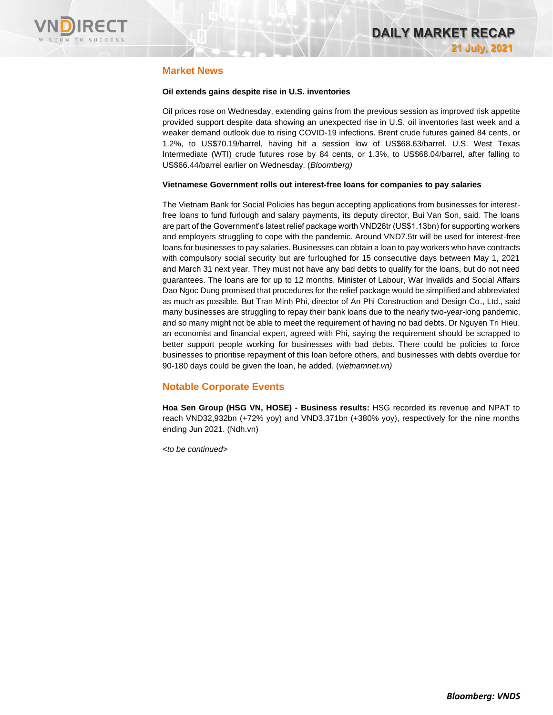

### **Market News**

### **Oil extends gains despite rise in U.S. inventories**

Oil prices rose on Wednesday, extending gains from the previous session as improved risk appetite provided support despite data showing an unexpected rise in U.S. oil inventories last week and a weaker demand outlook due to rising COVID-19 infections. Brent crude futures gained 84 cents, or 1.2%, to US\$70.19/barrel, having hit a session low of US\$68.63/barrel. U.S. West Texas Intermediate (WTI) crude futures rose by 84 cents, or 1.3%, to US\$68.04/barrel, after falling to US\$66.44/barrel earlier on Wednesday. (*Bloomberg)*

#### **Vietnamese Government rolls out interest-free loans for companies to pay salaries**

The Vietnam Bank for Social Policies has begun accepting applications from businesses for interestfree loans to fund furlough and salary payments, its deputy director, Bui Van Son, said. The loans are part of the Government's latest relief package worth VND26tr (US\$1.13bn) for supporting workers and employers struggling to cope with the pandemic. Around VND7.5tr will be used for interest-free loans for businesses to pay salaries. Businesses can obtain a loan to pay workers who have contracts with compulsory social security but are furloughed for 15 consecutive days between May 1, 2021 and March 31 next year. They must not have any bad debts to qualify for the loans, but do not need guarantees. The loans are for up to 12 months. Minister of Labour, War Invalids and Social Affairs Dao Ngoc Dung promised that procedures for the relief package would be simplified and abbreviated as much as possible. But Tran Minh Phi, director of An Phi Construction and Design Co., Ltd., said many businesses are struggling to repay their bank loans due to the nearly two-year-long pandemic, and so many might not be able to meet the requirement of having no bad debts. Dr Nguyen Tri Hieu, an economist and financial expert, agreed with Phi, saying the requirement should be scrapped to better support people working for businesses with bad debts. There could be policies to force businesses to prioritise repayment of this loan before others, and businesses with debts overdue for 90-180 days could be given the loan, he added. (*vietnamnet.vn)*

### **Notable Corporate Events**

**Hoa Sen Group (HSG VN, HOSE) - Business results:** HSG recorded its revenue and NPAT to reach VND32,932bn (+72% yoy) and VND3,371bn (+380% yoy), respectively for the nine months ending Jun 2021. (Ndh.vn)

*<to be continued>*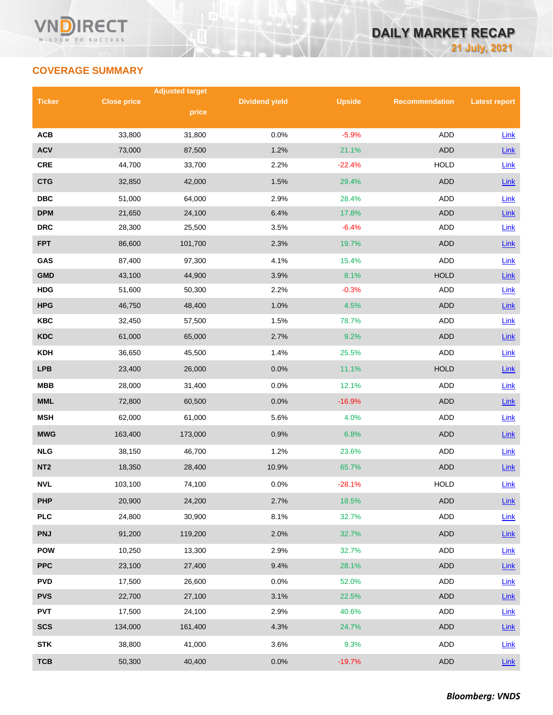# **COVERAGE SUMMARY**

|                 |                    | <b>Adjusted target</b> |                       |               |                       |                      |
|-----------------|--------------------|------------------------|-----------------------|---------------|-----------------------|----------------------|
| <b>Ticker</b>   | <b>Close price</b> | price                  | <b>Dividend yield</b> | <b>Upside</b> | <b>Recommendation</b> | <b>Latest report</b> |
|                 |                    |                        |                       |               |                       |                      |
| <b>ACB</b>      | 33,800             | 31,800                 | 0.0%                  | $-5.9%$       | <b>ADD</b>            | Link                 |
| <b>ACV</b>      | 73,000             | 87,500                 | 1.2%                  | 21.1%         | <b>ADD</b>            | Link                 |
| <b>CRE</b>      | 44,700             | 33,700                 | 2.2%                  | $-22.4%$      | <b>HOLD</b>           | Link                 |
| <b>CTG</b>      | 32,850             | 42,000                 | 1.5%                  | 29.4%         | <b>ADD</b>            | Link                 |
| <b>DBC</b>      | 51,000             | 64,000                 | 2.9%                  | 28.4%         | ADD                   | Link                 |
| <b>DPM</b>      | 21,650             | 24,100                 | 6.4%                  | 17.8%         | <b>ADD</b>            | Link                 |
| <b>DRC</b>      | 28,300             | 25,500                 | 3.5%                  | $-6.4%$       | <b>ADD</b>            | Link                 |
| <b>FPT</b>      | 86,600             | 101,700                | 2.3%                  | 19.7%         | <b>ADD</b>            | Link                 |
| GAS             | 87,400             | 97,300                 | 4.1%                  | 15.4%         | <b>ADD</b>            | Link                 |
| <b>GMD</b>      | 43,100             | 44,900                 | 3.9%                  | 8.1%          | <b>HOLD</b>           | Link                 |
| <b>HDG</b>      | 51,600             | 50,300                 | 2.2%                  | $-0.3%$       | ADD                   | Link                 |
| <b>HPG</b>      | 46,750             | 48,400                 | 1.0%                  | 4.5%          | <b>ADD</b>            | Link                 |
| <b>KBC</b>      | 32,450             | 57,500                 | 1.5%                  | 78.7%         | ADD                   | Link                 |
| <b>KDC</b>      | 61,000             | 65,000                 | 2.7%                  | 9.2%          | <b>ADD</b>            | Link                 |
| <b>KDH</b>      | 36,650             | 45,500                 | 1.4%                  | 25.5%         | ADD                   | Link                 |
| <b>LPB</b>      | 23,400             | 26,000                 | 0.0%                  | 11.1%         | <b>HOLD</b>           | Link                 |
| <b>MBB</b>      | 28,000             | 31,400                 | 0.0%                  | 12.1%         | ADD                   | Link                 |
| <b>MML</b>      | 72,800             | 60,500                 | 0.0%                  | $-16.9%$      | <b>ADD</b>            | Link                 |
| <b>MSH</b>      | 62,000             | 61,000                 | 5.6%                  | 4.0%          | ADD                   | Link                 |
| <b>MWG</b>      | 163,400            | 173,000                | 0.9%                  | 6.8%          | <b>ADD</b>            | Link                 |
| <b>NLG</b>      | 38,150             | 46,700                 | 1.2%                  | 23.6%         | ADD                   | Link                 |
| NT <sub>2</sub> | 18,350             | 28,400                 | 10.9%                 | 65.7%         | <b>ADD</b>            | Link                 |
| <b>NVL</b>      | 103,100            | 74,100                 | 0.0%                  | $-28.1%$      | <b>HOLD</b>           | Link                 |
| <b>PHP</b>      | 20,900             | 24,200                 | 2.7%                  | 18.5%         | ADD                   | Link                 |
| <b>PLC</b>      | 24,800             | 30,900                 | 8.1%                  | 32.7%         | ADD                   | Link                 |
| <b>PNJ</b>      | 91,200             | 119,200                | 2.0%                  | 32.7%         | ADD                   | Link                 |
| <b>POW</b>      | 10,250             | 13,300                 | 2.9%                  | 32.7%         | ADD                   | Link                 |
| <b>PPC</b>      | 23,100             | 27,400                 | 9.4%                  | 28.1%         | ADD                   | Link                 |
| <b>PVD</b>      | 17,500             | 26,600                 | 0.0%                  | 52.0%         | ADD                   | <b>Link</b>          |
| <b>PVS</b>      | 22,700             | 27,100                 | 3.1%                  | 22.5%         | <b>ADD</b>            | $Link$               |
| <b>PVT</b>      | 17,500             | 24,100                 | 2.9%                  | 40.6%         | ADD                   | Link                 |
| <b>SCS</b>      | 134,000            | 161,400                | 4.3%                  | 24.7%         | ADD                   | $Link$               |
| <b>STK</b>      | 38,800             | 41,000                 | 3.6%                  | 9.3%          | ADD                   | Link                 |
| <b>TCB</b>      | 50,300             | 40,400                 | 0.0%                  | $-19.7%$      | <b>ADD</b>            | Link                 |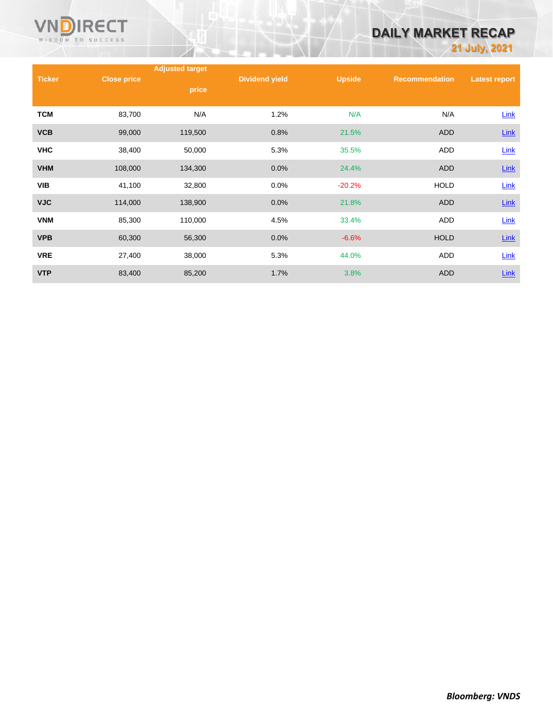

# **DAILY MARKET RECAP**

**21 July, 2021**

|               |                    | <b>Adjusted target</b> |                       |               |                       |                      |
|---------------|--------------------|------------------------|-----------------------|---------------|-----------------------|----------------------|
| <b>Ticker</b> | <b>Close price</b> | price                  | <b>Dividend yield</b> | <b>Upside</b> | <b>Recommendation</b> | <b>Latest report</b> |
|               |                    |                        |                       |               |                       |                      |
| <b>TCM</b>    | 83,700             | N/A                    | 1.2%                  | N/A           | N/A                   | Link                 |
| <b>VCB</b>    | 99,000             | 119,500                | 0.8%                  | 21.5%         | <b>ADD</b>            | $Link$               |
| <b>VHC</b>    | 38,400             | 50,000                 | 5.3%                  | 35.5%         | ADD                   | Link                 |
| <b>VHM</b>    | 108,000            | 134,300                | 0.0%                  | 24.4%         | <b>ADD</b>            | $Link$               |
| <b>VIB</b>    | 41,100             | 32,800                 | 0.0%                  | $-20.2%$      | <b>HOLD</b>           | Link                 |
| <b>VJC</b>    | 114,000            | 138,900                | 0.0%                  | 21.8%         | <b>ADD</b>            | $Link$               |
| <b>VNM</b>    | 85,300             | 110,000                | 4.5%                  | 33.4%         | ADD                   | Link                 |
| <b>VPB</b>    | 60,300             | 56,300                 | 0.0%                  | $-6.6%$       | <b>HOLD</b>           | $Link$               |
| <b>VRE</b>    | 27,400             | 38,000                 | 5.3%                  | 44.0%         | ADD                   | Link                 |
| <b>VTP</b>    | 83,400             | 85,200                 | 1.7%                  | 3.8%          | ADD                   | Link                 |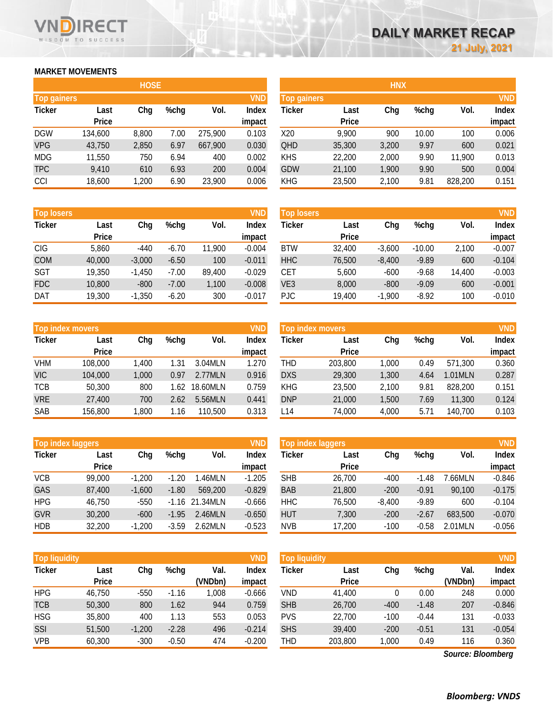### **MARKET MOVEMENTS**

WISDOM TO SUCCESS

RECT

|                    | <b>HOSE</b>  |       |      |         |              |  |  |  |  |  |  |
|--------------------|--------------|-------|------|---------|--------------|--|--|--|--|--|--|
| <b>Top gainers</b> |              |       |      |         | <b>VND</b>   |  |  |  |  |  |  |
| <b>Ticker</b>      | Last         | Chg   | %chg | Vol.    | <b>Index</b> |  |  |  |  |  |  |
|                    | <b>Price</b> |       |      |         | impact       |  |  |  |  |  |  |
| <b>DGW</b>         | 134,600      | 8,800 | 7.00 | 275,900 | 0.103        |  |  |  |  |  |  |
| <b>VPG</b>         | 43,750       | 2,850 | 6.97 | 667,900 | 0.030        |  |  |  |  |  |  |
| <b>MDG</b>         | 11,550       | 750   | 6.94 | 400     | 0.002        |  |  |  |  |  |  |
| <b>TPC</b>         | 9,410        | 610   | 6.93 | 200     | 0.004        |  |  |  |  |  |  |
| CCI                | 18,600       | 1,200 | 6.90 | 23,900  | 0.006        |  |  |  |  |  |  |

| <b>Top losers</b> |              |          |         |        | <b>VND</b>   |
|-------------------|--------------|----------|---------|--------|--------------|
| <b>Ticker</b>     | Last         | Chg      | %chg    | Vol.   | <b>Index</b> |
|                   | <b>Price</b> |          |         |        | impact       |
| <b>CIG</b>        | 5,860        | $-440$   | $-6.70$ | 11,900 | $-0.004$     |
| <b>COM</b>        | 40,000       | $-3,000$ | $-6.50$ | 100    | $-0.011$     |
| <b>SGT</b>        | 19,350       | $-1,450$ | $-7.00$ | 89,400 | $-0.029$     |
| <b>FDC</b>        | 10,800       | $-800$   | $-7.00$ | 1,100  | $-0.008$     |
| <b>DAT</b>        | 19,300       | $-1,350$ | $-6.20$ | 300    | $-0.017$     |

|               | <b>Top index movers</b> |       |      |          |              |  |  |  |  |
|---------------|-------------------------|-------|------|----------|--------------|--|--|--|--|
| <b>Ticker</b> | Last                    | Chg   | %chg | Vol.     | <b>Index</b> |  |  |  |  |
|               | <b>Price</b>            |       |      |          | impact       |  |  |  |  |
| <b>VHM</b>    | 108,000                 | 1,400 | 1.31 | 3.04MLN  | 1.270        |  |  |  |  |
| <b>VIC</b>    | 104,000                 | 1,000 | 0.97 | 2.77MLN  | 0.916        |  |  |  |  |
| <b>TCB</b>    | 50,300                  | 800   | 1.62 | 18.60MLN | 0.759        |  |  |  |  |
| <b>VRE</b>    | 27,400                  | 700   | 2.62 | 5.56MLN  | 0.441        |  |  |  |  |
| <b>SAB</b>    | 156,800                 | 1,800 | 1.16 | 110,500  | 0.313        |  |  |  |  |

|               | <b>Top index laggers</b> |          |         |          |              |  |  |  |  |
|---------------|--------------------------|----------|---------|----------|--------------|--|--|--|--|
| <b>Ticker</b> | Last                     | Chg      | %chg    | Vol.     | <b>Index</b> |  |  |  |  |
|               | <b>Price</b>             |          |         |          | impact       |  |  |  |  |
| <b>VCB</b>    | 99,000                   | $-1,200$ | $-1.20$ | 1.46MLN  | $-1.205$     |  |  |  |  |
| GAS           | 87,400                   | $-1,600$ | $-1.80$ | 569,200  | $-0.829$     |  |  |  |  |
| <b>HPG</b>    | 46,750                   | $-550$   | $-1.16$ | 21.34MLN | $-0.666$     |  |  |  |  |
| <b>GVR</b>    | 30,200                   | $-600$   | $-1.95$ | 2.46MLN  | $-0.650$     |  |  |  |  |
| <b>HDB</b>    | 32,200                   | $-1,200$ | $-3.59$ | 2.62MLN  | $-0.523$     |  |  |  |  |

|               | <b>VND</b><br><b>Top liquidity</b> |          |         |         |          | <b>Top liquidity</b> |              |        |         |         | <b>VND</b> |
|---------------|------------------------------------|----------|---------|---------|----------|----------------------|--------------|--------|---------|---------|------------|
| <b>Ticker</b> | Last                               | Chg      | $%$ chg | Val.    | Index    | Ticker               | Last         | Chg    | %chg    | Val.    | Index      |
|               | <b>Price</b>                       |          |         | (VNDbn) | impact   |                      | <b>Price</b> |        |         | (VNDbn) | impact     |
| <b>HPG</b>    | 46.750                             | -550     | $-1.16$ | 0.008   | $-0.666$ | <b>VND</b>           | 41.400       | 0      | 0.00    | 248     | 0.000      |
| <b>TCB</b>    | 50,300                             | 800      | 1.62    | 944     | 0.759    | <b>SHB</b>           | 26,700       | $-400$ | $-1.48$ | 207     | $-0.846$   |
| <b>HSG</b>    | 35,800                             | 400      | 1.13    | 553     | 0.053    | <b>PVS</b>           | 22,700       | $-100$ | $-0.44$ | 131     | $-0.033$   |
| SSI           | 51,500                             | $-1,200$ | $-2.28$ | 496     | $-0.214$ | <b>SHS</b>           | 39,400       | $-200$ | $-0.51$ | 131     | $-0.054$   |
| VPB           | 60,300                             | $-300$   | $-0.50$ | 474     | $-0.200$ | THD                  | 203,800      | 1,000  | 0.49    | 116     | 0.360      |

| <b>HOSE</b>        |              |       |      |            |                    |            | <b>HNX</b>   |       |       |            |              |
|--------------------|--------------|-------|------|------------|--------------------|------------|--------------|-------|-------|------------|--------------|
| <b>Top gainers</b> |              |       |      | <b>VND</b> | <b>Top gainers</b> |            |              |       |       | <b>VND</b> |              |
| Ticker             | Last         | Chg   | %chg | Vol.       | Index              | Ticker     | Last         | Chg   | %chg  | Vol.       | <b>Index</b> |
|                    | <b>Price</b> |       |      |            | impact             |            | <b>Price</b> |       |       |            | impact       |
| <b>DGW</b>         | 134,600      | 8,800 | 7.00 | 275,900    | 0.103              | X20        | 9.900        | 900   | 10.00 | 100        | 0.006        |
| <b>VPG</b>         | 43,750       | 2,850 | 6.97 | 667,900    | 0.030              | QHD        | 35,300       | 3,200 | 9.97  | 600        | 0.021        |
| MDG                | 11,550       | 750   | 6.94 | 400        | 0.002              | <b>KHS</b> | 22,200       | 2,000 | 9.90  | 11,900     | 0.013        |
| <b>TPC</b>         | 9,410        | 610   | 6.93 | 200        | 0.004              | <b>GDW</b> | 21,100       | 1,900 | 9.90  | 500        | 0.004        |
| CCI                | 18,600       | 1,200 | 6.90 | 23,900     | 0.006              | <b>KHG</b> | 23,500       | 2,100 | 9.81  | 828,200    | 0.151        |
|                    |              |       |      |            |                    |            |              |       |       |            |              |

| <b>Top losers</b> |              |          |         |        | VND      | <b>Top losers</b> |              |          |          |        | <b>VND</b>   |
|-------------------|--------------|----------|---------|--------|----------|-------------------|--------------|----------|----------|--------|--------------|
| Ticker            | Last         | Chg      | $%$ chg | Vol.   | Index    | Ticker            | Last         | Chg      | $%$ chg  | Vol.   | <b>Index</b> |
|                   | <b>Price</b> |          |         |        | impact   |                   | <b>Price</b> |          |          |        | impact       |
| CIG               | 5,860        | -440     | $-6.70$ | 11,900 | $-0.004$ | <b>BTW</b>        | 32.400       | $-3,600$ | $-10.00$ | 2.100  | $-0.007$     |
| COM               | 40,000       | $-3,000$ | $-6.50$ | 100    | $-0.011$ | <b>HHC</b>        | 76,500       | $-8,400$ | $-9.89$  | 600    | $-0.104$     |
| SGT               | 19,350       | $-1.450$ | $-7.00$ | 89.400 | $-0.029$ | CET               | 5.600        | $-600$   | $-9.68$  | 14.400 | $-0.003$     |
| <b>FDC</b>        | 10.800       | $-800$   | $-7.00$ | 1,100  | $-0.008$ | VE <sub>3</sub>   | 8.000        | $-800$   | $-9.09$  | 600    | $-0.001$     |
| DAT               | 19,300       | $-1,350$ | $-6.20$ | 300    | $-0.017$ | PJC.              | 19.400       | $-1,900$ | $-8.92$  | 100    | $-0.010$     |

|            | <b>Top index movers</b> | <b>VND</b> | Top index movers |          |                 |            |                      |       |         |         |                        |
|------------|-------------------------|------------|------------------|----------|-----------------|------------|----------------------|-------|---------|---------|------------------------|
| Ticker     | Last<br><b>Price</b>    | Chg        | $%$ chg          | Vol.     | Index<br>impact | Ticker     | Last<br><b>Price</b> | Chg   | $%$ chg | Vol.    | <b>Index</b><br>impact |
| <b>VHM</b> | 108.000                 | 1.400      | 1.31             | 3.04MLN  | 1.270           | THD        | 203.800              | 1.000 | 0.49    | 571.300 | 0.360                  |
| <b>VIC</b> | 104,000                 | 1,000      | 0.97             | 2.77MLN  | 0.916           | <b>DXS</b> | 29,300               | 1,300 | 4.64    | 1.01MLN | 0.287                  |
| TCB        | 50,300                  | 800        | l.62             | 18.60MLN | 0.759           | <b>KHG</b> | 23,500               | 2,100 | 9.81    | 828,200 | 0.151                  |
| <b>VRE</b> | 27,400                  | 700        | 2.62             | 5.56MLN  | 0.441           | <b>DNP</b> | 21,000               | 1,500 | 7.69    | 11.300  | 0.124                  |
| SAB        | 156,800                 | .800       | 1.16             | 110,500  | 0.313           | L14        | 74,000               | 4,000 | 5.71    | 140.700 | 0.103                  |

|            | <b>VND</b><br>Top index laggers |          |         |                  |                        |            | Top index laggers    |          |         |         |                        |  |
|------------|---------------------------------|----------|---------|------------------|------------------------|------------|----------------------|----------|---------|---------|------------------------|--|
| Ticker     | Last<br><b>Price</b>            | Chg      | $%$ chg | Vol.             | <b>Index</b><br>impact | Ticker     | Last<br><b>Price</b> | Chg      | %chg    | Vol.    | <b>Index</b><br>impact |  |
| VCB        | 99,000                          | $-1.200$ | $-1.20$ | .46MLN           | $-1.205$               | <b>SHB</b> | 26.700               | $-400$   | $-1.48$ | .66MLN  | $-0.846$               |  |
| GAS        | 87,400                          | $-1.600$ | $-1.80$ | 569,200          | $-0.829$               | <b>BAB</b> | 21,800               | $-200$   | $-0.91$ | 90.100  | $-0.175$               |  |
| HPG        | 46.750                          | $-550$   |         | $-1.16$ 21.34MLN | $-0.666$               | <b>HHC</b> | 76,500               | $-8.400$ | $-9.89$ | 600     | $-0.104$               |  |
| <b>GVR</b> | 30,200                          | $-600$   | $-1.95$ | 2.46MLN          | $-0.650$               | <b>HUT</b> | 7,300                | $-200$   | $-2.67$ | 683.500 | $-0.070$               |  |
| HDB        | 32,200                          | $-1,200$ | $-3.59$ | 2.62MLN          | $-0.523$               | <b>NVB</b> | 17,200               | $-100$   | $-0.58$ | 2.01MLN | $-0.056$               |  |

| <b>Top liquidity</b> |              |        |         |         | <b>VND</b>   |
|----------------------|--------------|--------|---------|---------|--------------|
| <b>Ticker</b>        | Last         | Chg    | %chg    | Val.    | <b>Index</b> |
|                      | <b>Price</b> |        |         | (VNDbn) | impact       |
| VND                  | 41,400       | 0      | 0.00    | 248     | 0.000        |
| <b>SHB</b>           | 26,700       | $-400$ | $-1.48$ | 207     | $-0.846$     |
| <b>PVS</b>           | 22,700       | $-100$ | $-0.44$ | 131     | $-0.033$     |
| <b>SHS</b>           | 39,400       | $-200$ | $-0.51$ | 131     | $-0.054$     |
| <b>THD</b>           | 203,800      | 1,000  | 0.49    | 116     | 0.360        |

*Source: Bloomberg*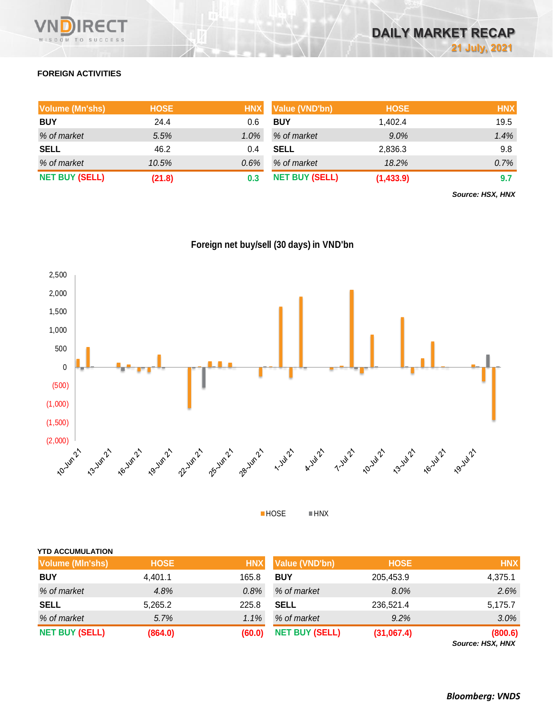

# **FOREIGN ACTIVITIES**

| <b>Volume (Mn'shs)</b> | <b>HOSE</b> | <b>HNX</b> | <b>Value (VND'bn)</b> | <b>HOSE</b> | <b>HNX</b> |
|------------------------|-------------|------------|-----------------------|-------------|------------|
| <b>BUY</b>             | 24.4        | 0.6        | <b>BUY</b>            | 1,402.4     | 19.5       |
| % of market            | 5.5%        | $1.0\%$    | % of market           | 9.0%        | 1.4%       |
| <b>SELL</b>            | 46.2        | 0.4        | <b>SELL</b>           | 2,836.3     | 9.8        |
| % of market            | 10.5%       | $0.6\%$    | % of market           | 18.2%       | 0.7%       |
| <b>NET BUY (SELL)</b>  | (21.8)      | 0.3        | <b>NET BUY (SELL)</b> | (1,433.9)   | 9.7        |

*Source: HSX, HNX*

# **Foreign net buy/sell (30 days) in VND'bn**



HOSE HNX

| <b>Volume (MIn'shs)</b> | <b>HOSE</b> | <b>HNX</b> | <b>Value (VND'bn)</b> | <b>HOSE</b> | <b>HNX</b> |
|-------------------------|-------------|------------|-----------------------|-------------|------------|
| <b>BUY</b>              | 4,401.1     | 165.8      | <b>BUY</b>            | 205,453.9   | 4,375.1    |
| % of market             | 4.8%        | $0.8\%$    | % of market           | 8.0%        | 2.6%       |
| <b>SELL</b>             | 5,265.2     | 225.8      | <b>SELL</b>           | 236,521.4   | 5,175.7    |
| % of market             | 5.7%        | $1.1\%$    | % of market           | 9.2%        | $3.0\%$    |
| <b>NET BUY (SELL)</b>   | (864.0)     | (60.0)     | <b>NET BUY (SELL)</b> | (31,067.4)  | (800.6)    |

*Source: HSX, HNX*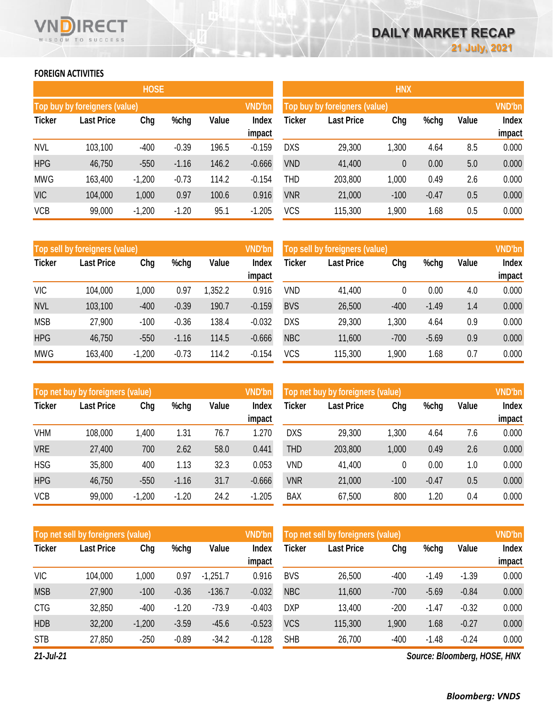### **FOREIGN ACTIVITIES**

WISDOM TO SUCCESS

RECT

|               |                               | <b>HOSE</b> |         |       |                        | <b>HNX</b>    |                               |        |         |       |                 |  |
|---------------|-------------------------------|-------------|---------|-------|------------------------|---------------|-------------------------------|--------|---------|-------|-----------------|--|
|               | Top buy by foreigners (value) |             |         |       | <b>VND'bn</b>          |               | Top buy by foreigners (value) |        |         |       | <b>VND'bn</b>   |  |
| <b>Ticker</b> | <b>Last Price</b>             | Chg         | %chg    | Value | <b>Index</b><br>impact | <b>Ticker</b> | <b>Last Price</b>             | Chg    | %chg    | Value | Index<br>impact |  |
| <b>NVL</b>    | 103,100                       | $-400$      | $-0.39$ | 196.5 | $-0.159$               | <b>DXS</b>    | 29,300                        | 1,300  | 4.64    | 8.5   | 0.000           |  |
| <b>HPG</b>    | 46,750                        | $-550$      | $-1.16$ | 146.2 | $-0.666$               | <b>VND</b>    | 41,400                        | 0      | 0.00    | 5.0   | 0.000           |  |
| <b>MWG</b>    | 163,400                       | $-1,200$    | $-0.73$ | 114.2 | $-0.154$               | THD           | 203,800                       | 1,000  | 0.49    | 2.6   | 0.000           |  |
| <b>VIC</b>    | 104,000                       | 1,000       | 0.97    | 100.6 | 0.916                  | <b>VNR</b>    | 21,000                        | $-100$ | $-0.47$ | 0.5   | 0.000           |  |
| <b>VCB</b>    | 99,000                        | $-1,200$    | $-1.20$ | 95.1  | $-1.205$               | <b>VCS</b>    | 115,300                       | 1,900  | 1.68    | 0.5   | 0.000           |  |

|               | <b>HNX</b>                    |          |         |       |               |  |  |  |  |  |  |  |  |
|---------------|-------------------------------|----------|---------|-------|---------------|--|--|--|--|--|--|--|--|
|               | Top buy by foreigners (value) |          |         |       | <b>VND'bn</b> |  |  |  |  |  |  |  |  |
| <b>Ticker</b> | <b>Last Price</b>             | Chg      | %chg    | Value | <b>Index</b>  |  |  |  |  |  |  |  |  |
|               |                               |          |         |       | impact        |  |  |  |  |  |  |  |  |
| <b>DXS</b>    | 29,300                        | 1,300    | 4.64    | 8.5   | 0.000         |  |  |  |  |  |  |  |  |
| <b>VND</b>    | 41,400                        | $\theta$ | 0.00    | 5.0   | 0.000         |  |  |  |  |  |  |  |  |
| <b>THD</b>    | 203,800                       | 1,000    | 0.49    | 2.6   | 0.000         |  |  |  |  |  |  |  |  |
| <b>VNR</b>    | 21,000                        | $-100$   | $-0.47$ | 0.5   | 0.000         |  |  |  |  |  |  |  |  |
| <b>VCS</b>    | 115,300                       | 1,900    | 1.68    | 0.5   | 0.000         |  |  |  |  |  |  |  |  |

|               | Top sell by foreigners (value)   |          |         |        | <b>VND'bn</b> | Top sell by foreigners (value) | <b>VND'bn</b> |        |         |              |        |
|---------------|----------------------------------|----------|---------|--------|---------------|--------------------------------|---------------|--------|---------|--------------|--------|
| <b>Ticker</b> | <b>Last Price</b><br>Chg<br>%chg |          | Value   | Index  | <b>Ticker</b> | <b>Last Price</b>              | Chg           | %chg   | Value   | <b>Index</b> |        |
|               |                                  |          |         |        | impact        |                                |               |        |         |              | impact |
| <b>VIC</b>    | 104,000                          | 1,000    | 0.97    | .352.2 | 0.916         | VND                            | 41,400        | 0      | 0.00    | 4.0          | 0.000  |
| <b>NVL</b>    | 103,100                          | $-400$   | $-0.39$ | 190.7  | $-0.159$      | <b>BVS</b>                     | 26,500        | $-400$ | $-1.49$ | 1.4          | 0.000  |
| <b>MSB</b>    | 27,900                           | $-100$   | $-0.36$ | 138.4  | $-0.032$      | DXS                            | 29,300        | ,300   | 4.64    | 0.9          | 0.000  |
| <b>HPG</b>    | 46,750                           | $-550$   | $-1.16$ | 114.5  | $-0.666$      | <b>NBC</b>                     | 11,600        | $-700$ | $-5.69$ | 0.9          | 0.000  |
| <b>MWG</b>    | 163,400                          | $-1,200$ | $-0.73$ | 114.2  | $-0.154$      | VCS                            | 115,300       | 1,900  | 68،     | 0.7          | 0.000  |

|               | Top net buy by foreigners (value) |          |         |       | <b>VND'bn</b>   | Top net buy by foreigners (value) |                   |        |         |       |                 |
|---------------|-----------------------------------|----------|---------|-------|-----------------|-----------------------------------|-------------------|--------|---------|-------|-----------------|
| <b>Ticker</b> | <b>Last Price</b>                 | Chg      | %chg    | Value | Index<br>impact | <b>Ticker</b>                     | <b>Last Price</b> | Chg    | %chg    | Value | Index<br>impact |
| <b>VHM</b>    | 108,000                           | 1,400    | 1.31    | 76.7  | 1.270           | <b>DXS</b>                        | 29,300            | ,300   | 4.64    | 7.6   | 0.000           |
| <b>VRE</b>    | 27,400                            | 700      | 2.62    | 58.0  | 0.441           | THD                               | 203,800           | 1,000  | 0.49    | 2.6   | 0.000           |
| <b>HSG</b>    | 35,800                            | 400      | 1.13    | 32.3  | 0.053           | VND                               | 41,400            | 0      | 0.00    | 1.0   | 0.000           |
| <b>HPG</b>    | 46,750                            | $-550$   | $-1.16$ | 31.7  | $-0.666$        | <b>VNR</b>                        | 21,000            | $-100$ | $-0.47$ | 0.5   | 0.000           |
| <b>VCB</b>    | 99,000                            | $-1,200$ | $-1.20$ | 24.2  | $-1.205$        | <b>BAX</b>                        | 67,500            | 800    | .20     | 0.4   | 0.000           |

|               | <b>VND'bn</b><br>Top net sell by foreigners (value) |          |         |            |                 |            | Top net sell by foreigners (value) |        |         |         |                 |  |
|---------------|-----------------------------------------------------|----------|---------|------------|-----------------|------------|------------------------------------|--------|---------|---------|-----------------|--|
| <b>Ticker</b> | <b>Last Price</b>                                   | Chg      | %chg    | Value      | Index<br>impact | Ticker     | <b>Last Price</b>                  | Chg    | %chg    | Value   | Index<br>impact |  |
| <b>VIC</b>    | 104,000                                             | 1,000    | 0.97    | $-1,251.7$ | 0.916           | <b>BVS</b> | 26,500                             | $-400$ | $-1.49$ | $-1.39$ | 0.000           |  |
| <b>MSB</b>    | 27,900                                              | $-100$   | $-0.36$ | $-136.7$   | $-0.032$        | <b>NBC</b> | 11,600                             | $-700$ | $-5.69$ | $-0.84$ | 0.000           |  |
| <b>CTG</b>    | 32,850                                              | $-400$   | $-1.20$ | $-73.9$    | $-0.403$        | <b>DXP</b> | 13,400                             | $-200$ | $-1.47$ | $-0.32$ | 0.000           |  |
| <b>HDB</b>    | 32,200                                              | $-1,200$ | $-3.59$ | $-45.6$    | $-0.523$        | <b>VCS</b> | 115,300                            | 1,900  | 1.68    | $-0.27$ | 0.000           |  |
| <b>STB</b>    | 27,850                                              | $-250$   | $-0.89$ | $-34.2$    | $-0.128$        | <b>SHB</b> | 26,700                             | $-400$ | $-1.48$ | $-0.24$ | 0.000           |  |

*21-Jul-21*

*Source: Bloomberg, HOSE, HNX*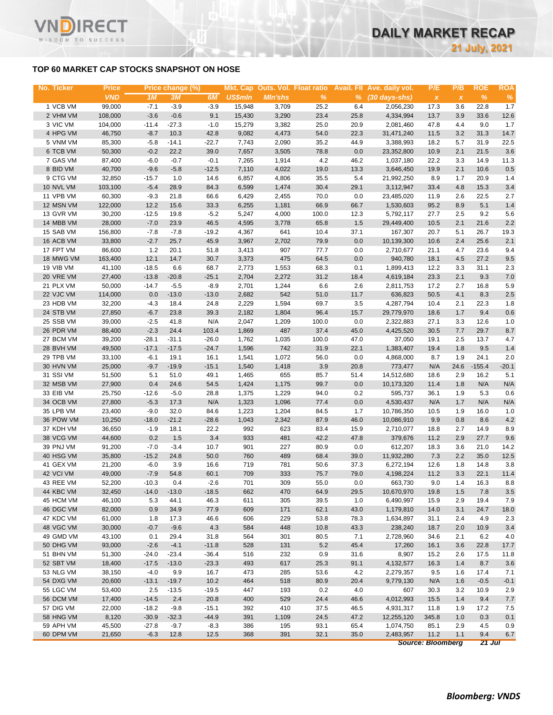### **TOP 60 MARKET CAP STOCKS SNAPSHOT ON HOSE**

T.

WISDOM TO SUCCESS

| No. Ticker | <b>Price</b> |         | Price change (%) |         |                |                |       |      | Mkt. Cap Outs. Vol. Float ratio Avail. Fll Ave. daily vol. | P/E       | P/B          | <b>ROE</b> | <b>ROA</b> |
|------------|--------------|---------|------------------|---------|----------------|----------------|-------|------|------------------------------------------------------------|-----------|--------------|------------|------------|
|            | <b>VND</b>   | 1M      | 3M               | 6M      | <b>US\$mln</b> | <b>Min'shs</b> | $\%$  |      | % (30 days-shs)                                            | $\pmb{X}$ | $\pmb{\chi}$ | $\%$       | %          |
| 1 VCB VM   | 99,000       | $-7.1$  | $-3.9$           | $-3.9$  | 15,948         | 3,709          | 25.2  | 6.4  | 2,056,230                                                  | 17.3      | 3.6          | 22.8       | 1.7        |
| 2 VHM VM   | 108,000      | $-3.6$  | $-0.6$           | 9.1     | 15,430         | 3,290          | 23.4  | 25.8 | 4,334,994                                                  | 13.7      | 3.9          | 33.6       | 12.6       |
| 3 VIC VM   | 104,000      | $-11.4$ | $-27.3$          | $-1.0$  | 15,279         | 3,382          | 25.0  | 20.9 | 2,081,460                                                  | 47.8      | 4.4          | 9.0        | 1.7        |
| 4 HPG VM   | 46,750       | $-8.7$  |                  | 42.8    | 9,082          | 4,473          | 54.0  | 22.3 |                                                            | 11.5      | 3.2          | 31.3       | 14.7       |
| 5 VNM VM   |              |         | 10.3             |         |                |                |       |      | 31,471,240                                                 |           |              |            |            |
|            | 85,300       | $-5.8$  | $-14.1$          | $-22.7$ | 7,743          | 2,090          | 35.2  | 44.9 | 3,388,993                                                  | 18.2      | 5.7          | 31.9       | 22.5       |
| 6 TCB VM   | 50,300       | $-0.2$  | 22.2             | 39.0    | 7,657          | 3,505          | 78.8  | 0.0  | 23,352,800                                                 | 10.9      | 2.1          | 21.5       | 3.6        |
| 7 GAS VM   | 87,400       | $-6.0$  | $-0.7$           | $-0.1$  | 7,265          | 1,914          | 4.2   | 46.2 | 1,037,180                                                  | 22.2      | 3.3          | 14.9       | 11.3       |
| 8 BID VM   | 40,700       | $-9.6$  | $-5.8$           | $-12.5$ | 7,110          | 4,022          | 19.0  | 13.3 | 3,646,450                                                  | 19.9      | 2.1          | 10.6       | 0.5        |
| 9 CTG VM   | 32,850       | $-15.7$ | 1.0              | 14.6    | 6,857          | 4,806          | 35.5  | 5.4  | 21,992,250                                                 | 8.9       | 1.7          | 20.9       | 1.4        |
| 10 NVL VM  | 103,100      | $-5.4$  | 28.9             | 84.3    | 6,599          | 1,474          | 30.4  | 29.1 | 3,112,947                                                  | 33.4      | 4.8          | 15.3       | 3.4        |
| 11 VPB VM  | 60,300       | $-9.3$  | 21.8             | 66.6    | 6,429          | 2,455          | 70.0  | 0.0  | 23,485,020                                                 | 11.9      | 2.6          | 22.5       | 2.7        |
| 12 MSN VM  | 122,000      | 12.2    | 15.6             | 33.3    | 6,255          | 1,181          | 66.9  | 66.7 | 1,530,603                                                  | 95.2      | 8.9          | 5.1        | 1.4        |
| 13 GVR VM  | 30,200       | $-12.5$ | 19.8             | $-5.2$  | 5,247          | 4,000          | 100.0 | 12.3 | 5,792,117                                                  | 27.7      | 2.5          | 9.2        | 5.6        |
| 14 MBB VM  | 28,000       | $-7.0$  | 23.9             | 46.5    | 4,595          | 3,778          | 65.8  | 1.5  | 29,449,400                                                 | 10.5      | 2.1          | 21.6       | 2.2        |
| 15 SAB VM  | 156,800      | $-7.8$  | $-7.8$           | $-19.2$ | 4,367          | 641            | 10.4  | 37.1 | 167,307                                                    | 20.7      | 5.1          | 26.7       | 19.3       |
| 16 ACB VM  | 33,800       | $-2.7$  | 25.7             | 45.9    | 3,967          | 2,702          | 79.9  | 0.0  | 10,139,300                                                 | 10.6      | 2.4          | 25.6       | 2.1        |
| 17 FPT VM  | 86,600       | 1.2     | 20.1             | 51.8    | 3,413          | 907            | 77.7  | 0.0  | 2,710,677                                                  | 21.1      | 4.7          | 23.6       | 9.4        |
| 18 MWG VM  | 163,400      | 12.1    | 14.7             | 30.7    | 3,373          | 475            | 64.5  | 0.0  | 940,780                                                    | 18.1      | 4.5          | 27.2       | 9.5        |
| 19 VIB VM  | 41,100       | $-18.5$ | 6.6              | 68.7    | 2,773          | 1,553          | 68.3  | 0.1  | 1,899,413                                                  | 12.2      | 3.3          | 31.1       | 2.3        |
| 20 VRE VM  | 27,400       | $-13.8$ | $-20.8$          | $-25.1$ | 2,704          | 2,272          | 31.2  | 18.4 | 4,619,184                                                  | 23.3      | 2.1          | 9.3        | 7.0        |
| 21 PLX VM  | 50,000       | $-14.7$ | $-5.5$           | $-8.9$  | 2,701          | 1,244          | 6.6   | 2.6  | 2,811,753                                                  | 17.2      | 2.7          | 16.8       | 5.9        |
| 22 VJC VM  | 114,000      | 0.0     | $-13.0$          | $-13.0$ | 2,682          | 542            | 51.0  | 11.7 | 636,823                                                    | 50.5      | 4.1          | 8.3        | 2.5        |
| 23 HDB VM  | 32,200       | $-4.3$  | 18.4             | 24.8    | 2,229          | 1,594          | 69.7  | 3.5  | 4,287,794                                                  | 10.4      | 2.1          | 22.3       | 1.8        |
| 24 STB VM  | 27,850       | $-6.7$  | 23.8             | 39.3    | 2,182          | 1,804          | 96.4  | 15.7 | 29,779,970                                                 | 18.6      | 1.7          | 9.4        | 0.6        |
| 25 SSB VM  | 39,000       | $-2.5$  | 41.8             | N/A     | 2,047          | 1,209          | 100.0 | 0.0  | 2,322,883                                                  | 27.1      | 3.3          | 12.6       | 1.0        |
| 26 PDR VM  | 88,400       | $-2.3$  | 24.4             | 103.4   | 1,869          | 487            | 37.4  | 45.0 | 4,425,520                                                  | 30.5      | 7.7          | 29.7       | 8.7        |
| 27 BCM VM  | 39,200       | $-28.1$ | $-31.1$          | $-26.0$ | 1,762          | 1,035          | 100.0 | 47.0 | 37,050                                                     | 19.1      | 2.5          | 13.7       | 4.7        |
| 28 BVH VM  | 49,500       | $-17.1$ | $-17.5$          | $-24.7$ | 1,596          | 742            | 31.9  | 22.1 | 1,383,407                                                  | 19.4      | 1.8          | 9.5        | 1.4        |
| 29 TPB VM  | 33,100       | $-6.1$  | 19.1             | 16.1    | 1,541          | 1,072          | 56.0  | 0.0  | 4,868,000                                                  | 8.7       | 1.9          | 24.1       | 2.0        |
| 30 HVN VM  | 25,000       | $-9.7$  | $-19.9$          | $-15.1$ | 1,540          | 1,418          | 3.9   | 20.8 | 773,477                                                    | N/A       | 24.6         | $-155.4$   | $-20.1$    |
| 31 SSI VM  | 51,500       | 5.1     | 51.0             | 49.1    | 1,465          | 655            | 85.7  | 51.4 | 14,512,680                                                 | 18.6      | 2.9          | 16.2       | 5.1        |
| 32 MSB VM  | 27,900       | 0.4     | 24.6             | 54.5    | 1,424          | 1,175          | 99.7  | 0.0  | 10,173,320                                                 | 11.4      | 1.8          | N/A        | N/A        |
| 33 EIB VM  | 25,750       | $-12.6$ | $-5.0$           | 28.8    | 1,375          | 1,229          | 94.0  | 0.2  | 595,737                                                    | 36.1      | 1.9          | 5.3        |            |
| 34 OCB VM  | 27,800       | $-5.3$  | 17.3             | N/A     | 1,323          | 1,096          | 77.4  | 0.0  |                                                            | N/A       | 1.7          | N/A        | 0.6<br>N/A |
|            |              |         |                  |         |                |                |       |      | 4,530,437                                                  |           |              |            |            |
| 35 LPB VM  | 23,400       | $-9.0$  | 32.0             | 84.6    | 1,223          | 1,204          | 84.5  | 1.7  | 10,786,350                                                 | 10.5      | 1.9          | 16.0       | 1.0        |
| 36 POW VM  | 10,250       | $-18.0$ | $-21.2$          | $-28.6$ | 1,043          | 2,342          | 87.9  | 46.0 | 10,086,910                                                 | 9.9       | 0.8          | 8.6        | 4.2        |
| 37 KDH VM  | 36,650       | $-1.9$  | 18.1             | 22.2    | 992            | 623            | 83.4  | 15.9 | 2,710,077                                                  | 18.8      | 2.7          | 14.9       | 8.9        |
| 38 VCG VM  | 44,600       | 0.2     | 1.5              | 3.4     | 933            | 481            | 42.2  | 47.8 | 379,676                                                    | 11.2      | 2.9          | 27.7       | 9.6        |
| 39 PNJ VM  | 91,200       | $-7.0$  | $-3.4$           | 10.7    | 901            | 227            | 80.9  | 0.0  | 612,207                                                    | 18.3      | 3.6          | 21.0       | 14.2       |
| 40 HSG VM  | 35,800       | $-15.2$ | 24.8             | 50.0    | 760            | 489            | 68.4  | 39.0 | 11,932,280                                                 | 7.3       | 2.2          | 35.0       | 12.5       |
| 41 GEX VM  | 21,200       | $-6.0$  | 3.9              | 16.6    | 719            | 781            | 50.6  | 37.3 | 6,272,194                                                  | 12.6      | 1.8          | 14.8       | 3.8        |
| 42 VCI VM  | 49,000       | $-7.9$  | 54.8             | 60.1    | 709            | 333            | 75.7  | 79.0 | 4,198,224                                                  | 11.2      | 3.3          | 22.1       | 11.4       |
| 43 REE VM  | 52,200       | $-10.3$ | 0.4              | $-2.6$  | 701            | 309            | 55.0  | 0.0  | 663,730                                                    | 9.0       | 1.4          | 16.3       | 8.8        |
| 44 KBC VM  | 32,450       | $-14.0$ | $-13.0$          | $-18.5$ | 662            | 470            | 64.9  | 29.5 | 10,670,970                                                 | 19.8      | 1.5          | 7.8        | 3.5        |
| 45 HCM VM  | 46,100       | 5.3     | 44.1             | 46.3    | 611            | 305            | 39.5  | 1.0  | 6,490,997                                                  | 15.9      | 2.9          | 19.4       | 7.9        |
| 46 DGC VM  | 82,000       | 0.9     | 34.9             | 77.9    | 609            | 171            | 62.1  | 43.0 | 1,179,810                                                  | 14.0      | 3.1          | 24.7       | 18.0       |
| 47 KDC VM  | 61,000       | 1.8     | 17.3             | 46.6    | 606            | 229            | 53.8  | 78.3 | 1,634,897                                                  | 31.1      | 2.4          | 4.9        | 2.3        |
| 48 VGC VM  | 30,000       | $-0.7$  | $-9.6$           | 4.3     | 584            | 448            | 10.8  | 43.3 | 238,240                                                    | 18.7      | 2.0          | 10.9       | 3.4        |
| 49 GMD VM  | 43,100       | 0.1     | 29.4             | 31.8    | 564            | 301            | 80.5  | 7.1  | 2,728,960                                                  | 34.6      | 2.1          | 6.2        | 4.0        |
| 50 DHG VM  | 93,000       | $-2.6$  | $-4.1$           | $-11.8$ | 528            | 131            | 5.2   | 45.4 | 17,260                                                     | 16.1      | 3.6          | 22.8       | 17.7       |
| 51 BHN VM  | 51,300       | $-24.0$ | $-23.4$          | $-36.4$ | 516            | 232            | 0.9   | 31.6 | 8,907                                                      | 15.2      | 2.6          | 17.5       | 11.8       |
| 52 SBT VM  | 18,400       | $-17.5$ | $-13.0$          | $-23.3$ | 493            | 617            | 25.3  | 91.1 | 4,132,577                                                  | 16.3      | 1.4          | 8.7        | 3.6        |
| 53 NLG VM  | 38,150       | $-4.0$  | 9.9              | 16.7    | 473            | 285            | 53.6  | 4.2  | 2,279,357                                                  | 9.5       | 1.6          | 17.4       | 7.1        |
| 54 DXG VM  | 20,600       | $-13.1$ | $-19.7$          | 10.2    | 464            | 518            | 80.9  | 20.4 | 9,779,130                                                  | N/A       | 1.6          | $-0.5$     | $-0.1$     |
| 55 LGC VM  | 53,400       | 2.5     | $-13.5$          | $-19.5$ | 447            | 193            | 0.2   | 4.0  | 607                                                        | 30.3      | 3.2          | 10.9       | 2.9        |
| 56 DCM VM  | 17,400       | $-14.5$ | 2.4              | 20.8    | 400            | 529            | 24.4  | 46.6 | 4,012,993                                                  | 15.5      | 1.4          | 9.4        | 7.7        |
| 57 DIG VM  | 22,000       | $-18.2$ | $-9.8$           | $-15.1$ | 392            | 410            | 37.5  | 46.5 | 4,931,317                                                  | 11.8      | 1.9          | 17.2       | 7.5        |
| 58 HNG VM  | 8,120        | $-30.9$ | $-32.3$          | $-44.9$ | 391            | 1,109          | 24.5  | 47.2 | 12,255,120                                                 | 345.8     | 1.0          | 0.3        | 0.1        |
| 59 APH VM  | 45,500       | $-27.8$ | $-9.7$           | $-8.3$  | 386            | 195            | 93.1  | 65.4 | 1,074,750                                                  | 85.1      | 2.9          | 4.5        | 0.9        |
| 60 DPM VM  | 21,650       | $-6.3$  | 12.8             | 12.5    | 368            | 391            | 32.1  | 35.0 | 2,483,957                                                  | 11.2      | 1.1          | 9.4        | 6.7        |

*Source: Bloomberg 21 Jul*